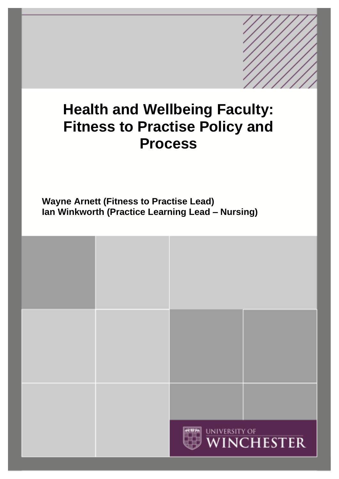# **Health and Wellbeing Faculty: Fitness to Practise Policy and Process**

**Wayne Arnett (Fitness to Practise Lead) Ian Winkworth (Practice Learning Lead – Nursing)**

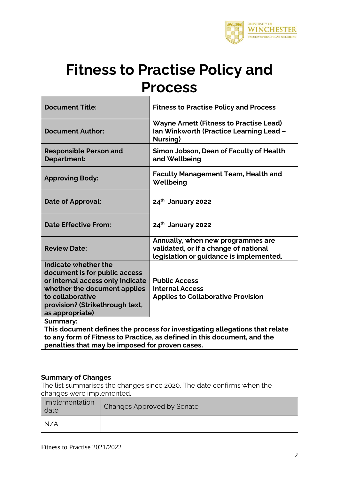

# **Fitness to Practise Policy and Process**

| <b>Document Title:</b>                                                                                                                                                                              | <b>Fitness to Practise Policy and Process</b>                                                                                                           |
|-----------------------------------------------------------------------------------------------------------------------------------------------------------------------------------------------------|---------------------------------------------------------------------------------------------------------------------------------------------------------|
| <b>Document Author:</b>                                                                                                                                                                             | <b>Wayne Arnett (Fitness to Practise Lead)</b><br>Ian Winkworth (Practice Learning Lead -<br>Nursing)                                                   |
| <b>Responsible Person and</b><br>Department:                                                                                                                                                        | Simon Jobson, Dean of Faculty of Health<br>and Wellbeing                                                                                                |
| <b>Approving Body:</b>                                                                                                                                                                              | <b>Faculty Management Team, Health and</b><br>Wellbeing                                                                                                 |
| Date of Approval:                                                                                                                                                                                   | 24th January 2022                                                                                                                                       |
| <b>Date Effective From:</b>                                                                                                                                                                         | 24th January 2022                                                                                                                                       |
| <b>Review Date:</b>                                                                                                                                                                                 | Annually, when new programmes are<br>validated, or if a change of national<br>legislation or guidance is implemented.                                   |
| Indicate whether the<br>document is for public access<br>or internal access only Indicate<br>whether the document applies<br>to collaborative<br>provision? (Strikethrough text,<br>as appropriate) | <b>Public Access</b><br><b>Internal Access</b><br><b>Applies to Collaborative Provision</b>                                                             |
| <b>Summary:</b><br>penalties that may be imposed for proven cases.                                                                                                                                  | This document defines the process for investigating allegations that relate<br>to any form of Fitness to Practice, as defined in this document, and the |

**penalties that may be imposed for proven cases.** 

### **Summary of Changes**

The list summarises the changes since 2020. The date confirms when the changes were implemented.

| Implementation<br>date | Changes Approved by Senate |
|------------------------|----------------------------|
| N/A                    |                            |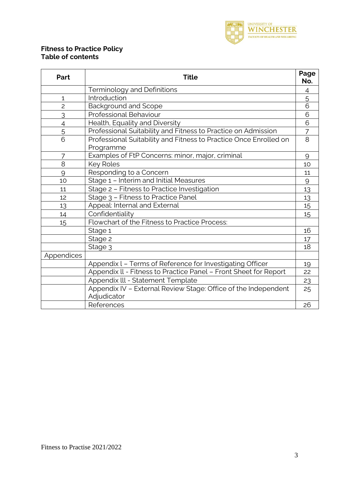

### **Fitness to Practice Policy Table of contents**

| Part           | <b>Title</b>                                                                  | Page<br>No.    |
|----------------|-------------------------------------------------------------------------------|----------------|
|                | <b>Terminology and Definitions</b>                                            | 4              |
| $\mathbf{1}$   | Introduction                                                                  | $\overline{5}$ |
| $\overline{c}$ | <b>Background and Scope</b>                                                   | 6              |
| 3              | Professional Behaviour                                                        | 6              |
| $\overline{4}$ | Health, Equality and Diversity                                                | 6              |
| 5              | Professional Suitability and Fitness to Practice on Admission                 | $\overline{7}$ |
| $\overline{6}$ | Professional Suitability and Fitness to Practice Once Enrolled on             | 8              |
|                | Programme                                                                     |                |
| 7              | Examples of FtP Concerns: minor, major, criminal                              | 9              |
| 8              | Key Roles                                                                     |                |
| 9              | Responding to a Concern                                                       |                |
| 10             | Stage 1 - Interim and Initial Measures                                        |                |
| 11             | Stage 2 - Fitness to Practice Investigation                                   |                |
| 12             | Stage 3 - Fitness to Practice Panel                                           | 13             |
| 13             | Appeal: Internal and External                                                 | 15             |
| 14             | Confidentiality                                                               |                |
| 15             | Flowchart of the Fitness to Practice Process:                                 |                |
|                | Stage 1                                                                       | 16             |
|                | Stage 2                                                                       | 17             |
|                | Stage 3                                                                       | 18             |
| Appendices     |                                                                               |                |
|                | Appendix L - Terms of Reference for Investigating Officer                     | 19             |
|                | Appendix II - Fitness to Practice Panel - Front Sheet for Report              | 22             |
|                | Appendix III - Statement Template                                             | 23             |
|                | Appendix IV - External Review Stage: Office of the Independent<br>Adjudicator | 25             |
|                | References                                                                    | 26             |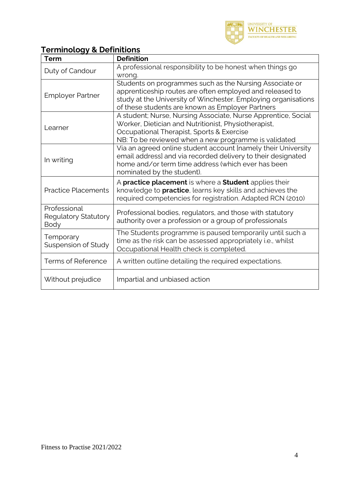

# **Terminology & Definitions**

| <b>Term</b>                                         | <b>Definition</b>                                                                                                                                                                                                                         |  |
|-----------------------------------------------------|-------------------------------------------------------------------------------------------------------------------------------------------------------------------------------------------------------------------------------------------|--|
| Duty of Candour                                     | A professional responsibility to be honest when things go<br>wrong.                                                                                                                                                                       |  |
| <b>Employer Partner</b>                             | Students on programmes such as the Nursing Associate or<br>apprenticeship routes are often employed and released to<br>study at the University of Winchester. Employing organisations<br>of these students are known as Employer Partners |  |
| Learner                                             | A student; Nurse, Nursing Associate, Nurse Apprentice, Social<br>Worker, Dietician and Nutritionist, Physiotherapist,<br>Occupational Therapist, Sports & Exercise<br>NB: To be reviewed when a new programme is validated                |  |
| In writing                                          | Via an agreed online student account [namely their University<br>email address] and via recorded delivery to their designated<br>home and/or term time address (which ever has been<br>nominated by the student).                         |  |
| <b>Practice Placements</b>                          | A practice placement is where a Student applies their<br>knowledge to <b>practice</b> , learns key skills and achieves the<br>required competencies for registration. Adapted RCN (2010)                                                  |  |
| Professional<br><b>Regulatory Statutory</b><br>Body | Professional bodies, regulators, and those with statutory<br>authority over a profession or a group of professionals                                                                                                                      |  |
| Temporary<br>Suspension of Study                    | The Students programme is paused temporarily until such a<br>time as the risk can be assessed appropriately i.e., whilst<br>Occupational Health check is completed.                                                                       |  |
| <b>Terms of Reference</b>                           | A written outline detailing the required expectations.                                                                                                                                                                                    |  |
| Without prejudice                                   | Impartial and unbiased action                                                                                                                                                                                                             |  |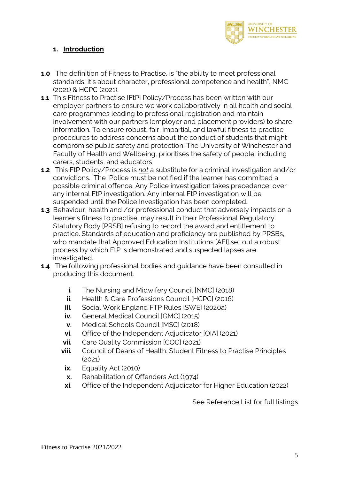

### **1. Introduction**

- **1.0** The definition of Fitness to Practise, is "the ability to meet professional standards; it's about character, professional competence and health", NMC (2021) & HCPC (2021).
- **1.1** This Fitness to Practise [FtP] Policy/Process has been written with our employer partners to ensure we work collaboratively in all health and social care programmes leading to professional registration and maintain involvement with our partners (employer and placement providers) to share information. To ensure robust, fair, impartial, and lawful fitness to practise procedures to address concerns about the conduct of students that might compromise public safety and protection. The University of Winchester and Faculty of Health and Wellbeing, prioritises the safety of people, including carers, students, and educators
- **1.2** This FtP Policy/Process is *not* a substitute for a criminal investigation and/or convictions. The Police must be notified if the learner has committed a possible criminal offence. Any Police investigation takes precedence, over any internal FtP investigation. Any internal FtP investigation will be suspended until the Police Investigation has been completed.
- **1.3** Behaviour, health and /or professional conduct that adversely impacts on a learner's fitness to practise, may result in their Professional Regulatory Statutory Body [PRSB] refusing to record the award and entitlement to practice. Standards of education and proficiency are published by PRSBs, who mandate that Approved Education Institutions [AEI] set out a robust process by which FtP is demonstrated and suspected lapses are investigated.
- **1.4** The following professional bodies and guidance have been consulted in producing this document.
	- **i.** The Nursing and Midwifery Council [NMC] (2018)
	- **ii.** Health & Care Professions Council [HCPC] (2016)
	- **iii.** Social Work England FTP Rules [SWE] (2020a)
	- **iv.** General Medical Council [GMC] (2015)
	- **v.** Medical Schools Council [MSC] (2018)
	- **vi.** Office of the Independent Adjudicator [OIA] (2021)
	- **vii.** Care Quality Commission [CQC] (2021)
	- **viii.** Council of Deans of Health: Student Fitness to Practise Principles (2021)
		- **ix.** Equality Act (2010)
		- **x.** Rehabilitation of Offenders Act (1974)
	- **xi.** Office of the Independent Adjudicator for Higher Education (2022)

See Reference List for full listings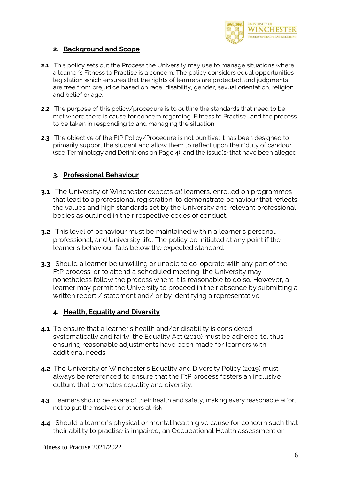

### **2. Background and Scope**

- **2.1** This policy sets out the Process the University may use to manage situations where a learner's Fitness to Practise is a concern. The policy considers equal opportunities legislation which ensures that the rights of learners are protected, and judgments are free from prejudice based on race, disability, gender, sexual orientation, religion and belief or age.
- **2.2** The purpose of this policy/procedure is to outline the standards that need to be met where there is cause for concern regarding 'Fitness to Practise', and the process to be taken in responding to and managing the situation
- **2.3** The objective of the FtP Policy/Procedure is not punitive; it has been designed to primarily support the student and allow them to reflect upon their 'duty of candour' (see Terminology and Definitions on Page 4), and the issue(s) that have been alleged.

### **3. Professional Behaviour**

- **3.1** The University of Winchester expects *all* learners, enrolled on programmes that lead to a professional registration, to demonstrate behaviour that reflects the values and high standards set by the University and relevant professional bodies as outlined in their respective codes of conduct.
- **3.2** This level of behaviour must be maintained within a learner's personal, professional, and University life. The policy be initiated at any point if the learner's behaviour falls below the expected standard.
- **3.3** Should a learner be unwilling or unable to co-operate with any part of the FtP process, or to attend a scheduled meeting, the University may nonetheless follow the process where it is reasonable to do so. However, a learner may permit the University to proceed in their absence by submitting a written report / statement and/ or by identifying a representative.

### **4. Health, Equality and Diversity**

- **4.1** To ensure that a learner's health and/or disability is considered systematically and fairly, the [Equality](https://www.legislation.gov.uk/ukpga/2010/15/contents) Act (2010) must be adhered to, thus ensuring reasonable adjustments have been made for learners with additional needs.
- **4.2** The University of Winchester's **Equality and [Diversity](https://www.winchester.ac.uk/about-us/leadership-and-governance/policies-and-procedures/?download=true&id=45) Policy (2019)** must always be referenced to ensure that the FtP process fosters an inclusive culture that promotes equality and diversity.
- **4.3** Learners should be aware of their health and safety, making every reasonable effort not to put themselves or others at risk.
- **4.4** Should a learner's physical or mental health give cause for concern such that their ability to practise is impaired, an Occupational Health assessment or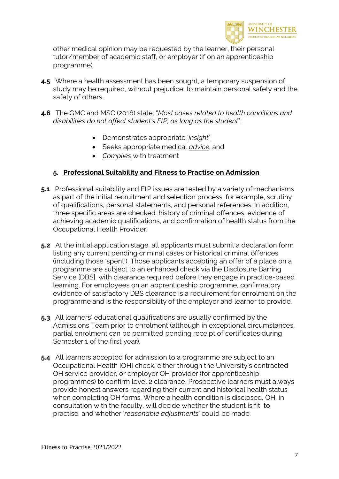

other medical opinion may be requested by the learner, their personal tutor/member of academic staff, or employer (if on an apprenticeship programme).

- **4.5** Where a health assessment has been sought, a temporary suspension of study may be required, without prejudice, to maintain personal safety and the safety of others.
- **4.6** The GMC and MSC (2016) state; "*Most cases related to health conditions and disabilities do not affect student's FtP, as long as the student*";
	- Demonstrates appropriate '*insight'*
	- Seeks appropriate medical *advice*; and
	- *Complies* with treatment

### **5. Professional Suitability and Fitness to Practise on Admission**

- **5.1** Professional suitability and FtP issues are tested by a variety of mechanisms as part of the initial recruitment and selection process, for example, scrutiny of qualifications, personal statements, and personal references. In addition, three specific areas are checked: history of criminal offences, evidence of achieving academic qualifications, and confirmation of health status from the Occupational Health Provider.
- **5.2** At the initial application stage, all applicants must submit a declaration form listing any current pending criminal cases or historical criminal offences (including those 'spent'). Those applicants accepting an offer of a place on a programme are subject to an enhanced check via the Disclosure Barring Service [DBS], with clearance required before they engage in practice-based learning. For employees on an apprenticeship programme, confirmatory evidence of satisfactory DBS clearance is a requirement for enrolment on the programme and is the responsibility of the employer and learner to provide.
- **5.3** All learners' educational qualifications are usually confirmed by the Admissions Team prior to enrolment (although in exceptional circumstances, partial enrolment can be permitted pending receipt of certificates during Semester 1 of the first year).
- **5.4** All learners accepted for admission to a programme are subject to an Occupational Health [OH] check, either through the University's contracted OH service provider, or employer OH provider (for apprenticeship programmes) to confirm level 2 clearance. Prospective learners must always provide honest answers regarding their current and historical health status when completing OH forms. Where a health condition is disclosed, OH, in consultation with the faculty, will decide whether the student is fit to practise, and whether '*reasonable adjustments*' could be made.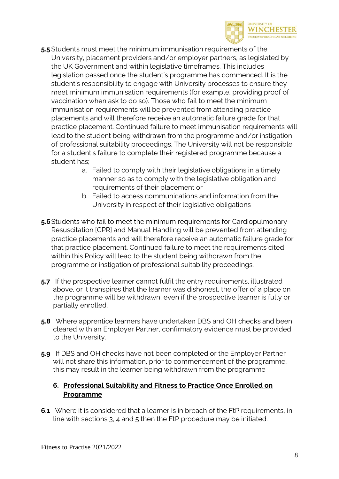

- **5.5** Students must meet the minimum immunisation requirements of the University, placement providers and/or employer partners, as legislated by the UK Government and within legislative timeframes. This includes legislation passed once the student's programme has commenced. It is the student's responsibility to engage with University processes to ensure they meet minimum immunisation requirements (for example, providing proof of vaccination when ask to do so). Those who fail to meet the minimum immunisation requirements will be prevented from attending practice placements and will therefore receive an automatic failure grade for that practice placement. Continued failure to meet immunisation requirements will lead to the student being withdrawn from the programme and/or instigation of professional suitability proceedings. The University will not be responsible for a student's failure to complete their registered programme because a student has;
	- a. Failed to comply with their legislative obligations in a timely manner so as to comply with the legislative obligation and requirements of their placement or
	- b. Failed to access communications and information from the University in respect of their legislative obligations
- **5.6**Students who fail to meet the minimum requirements for Cardiopulmonary Resuscitation [CPR] and Manual Handling will be prevented from attending practice placements and will therefore receive an automatic failure grade for that practice placement. Continued failure to meet the requirements cited within this Policy will lead to the student being withdrawn from the programme or instigation of professional suitability proceedings.
- **5.7** If the prospective learner cannot fulfil the entry requirements, illustrated above, or it transpires that the learner was dishonest, the offer of a place on the programme will be withdrawn, even if the prospective learner is fully or partially enrolled.
- **5.8** Where apprentice learners have undertaken DBS and OH checks and been cleared with an Employer Partner, confirmatory evidence must be provided to the University.
- **5.9** If DBS and OH checks have not been completed or the Employer Partner will not share this information, prior to commencement of the programme, this may result in the learner being withdrawn from the programme

### **6. Professional Suitability and Fitness to Practice Once Enrolled on Programme**

**6.1** Where it is considered that a learner is in breach of the FtP requirements, in line with sections 3, 4 and 5 then the FtP procedure may be initiated.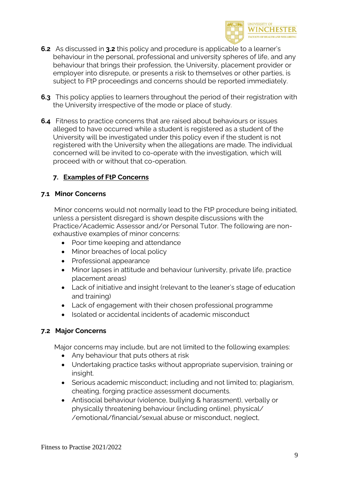

- **6.2** As discussed in **3.2** this policy and procedure is applicable to a learner's behaviour in the personal, professional and university spheres of life, and any behaviour that brings their profession, the University, placement provider or employer into disrepute, or presents a risk to themselves or other parties, is subject to FtP proceedings and concerns should be reported immediately.
- **6.3** This policy applies to learners throughout the period of their registration with the University irrespective of the mode or place of study.
- **6.4** Fitness to practice concerns that are raised about behaviours or issues alleged to have occurred while a student is registered as a student of the University will be investigated under this policy even if the student is not registered with the University when the allegations are made. The individual concerned will be invited to co-operate with the investigation, which will proceed with or without that co-operation.

### **7. Examples of FtP Concerns**

### **7.1 Minor Concerns**

 Minor concerns would not normally lead to the FtP procedure being initiated, unless a persistent disregard is shown despite discussions with the Practice/Academic Assessor and/or Personal Tutor. The following are nonexhaustive examples of minor concerns:

- Poor time keeping and attendance
- Minor breaches of local policy
- Professional appearance
- Minor lapses in attitude and behaviour (university, private life, practice placement areas)
- Lack of initiative and insight (relevant to the leaner's stage of education and training)
- Lack of engagement with their chosen professional programme
- Isolated or accidental incidents of academic misconduct

### **7.2 Major Concerns**

Major concerns may include, but are not limited to the following examples:

- Any behaviour that puts others at risk
- Undertaking practice tasks without appropriate supervision, training or insight.
- Serious academic misconduct; including and not limited to; plagiarism, cheating, forging practice assessment documents.
- Antisocial behaviour (violence, bullying & harassment), verbally or physically threatening behaviour (including online), physical/ /emotional/financial/sexual abuse or misconduct, neglect,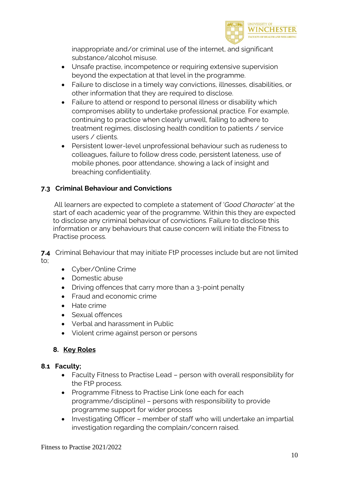

inappropriate and/or criminal use of the internet, and significant substance/alcohol misuse.

- Unsafe practise, incompetence or requiring extensive supervision beyond the expectation at that level in the programme.
- Failure to disclose in a timely way convictions, illnesses, disabilities, or other information that they are required to disclose.
- Failure to attend or respond to personal illness or disability which compromises ability to undertake professional practice. For example, continuing to practice when clearly unwell, failing to adhere to treatment regimes, disclosing health condition to patients / service users / clients.
- Persistent lower-level unprofessional behaviour such as rudeness to colleagues, failure to follow dress code, persistent lateness, use of mobile phones, poor attendance, showing a lack of insight and breaching confidentiality.

### **7.3 Criminal Behaviour and Convictions**

 All learners are expected to complete a statement of '*Good Character'* at the start of each academic year of the programme. Within this they are expected to disclose any criminal behaviour of convictions. Failure to disclose this information or any behaviours that cause concern will initiate the Fitness to Practise process.

**7.4** Criminal Behaviour that may initiate FtP processes include but are not limited to;

- Cyber/Online Crime
- Domestic abuse
- Driving offences that carry more than a 3-point penalty
- Fraud and economic crime
- Hate crime
- Sexual offences
- Verbal and harassment in Public
- Violent crime against person or persons

### **8. Key Roles**

### **8.1 Faculty;**

- Faculty Fitness to Practise Lead person with overall responsibility for the FtP process.
- Programme Fitness to Practise Link (one each for each programme/discipline) – persons with responsibility to provide programme support for wider process
- Investigating Officer member of staff who will undertake an impartial investigation regarding the complain/concern raised.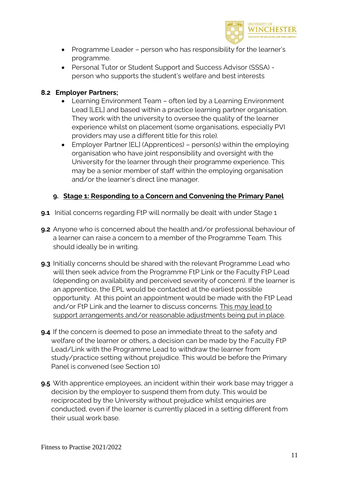

- Programme Leader person who has responsibility for the learner's programme.
- Personal Tutor or Student Support and Success Advisor (SSSA) person who supports the student's welfare and best interests

### **8.2 Employer Partners;**

- Learning Environment Team often led by a Learning Environment Lead [LEL] and based within a practice learning partner organisation. They work with the university to oversee the quality of the learner experience whilst on placement (some organisations, especially PVI providers may use a different title for this role).
- Employer Partner [EL] (Apprentices) person(s) within the employing organisation who have joint responsibility and oversight with the University for the learner through their programme experience. This may be a senior member of staff within the employing organisation and/or the learner's direct line manager.

### **9. Stage 1: Responding to a Concern and Convening the Primary Panel**

- **9.1** Initial concerns regarding FtP will normally be dealt with under Stage 1
- **9.2** Anyone who is concerned about the health and/or professional behaviour of a learner can raise a concern to a member of the Programme Team. This should ideally be in writing.
- **9.3** Initially concerns should be shared with the relevant Programme Lead who will then seek advice from the Programme FtP Link or the Faculty FtP Lead (depending on availability and perceived severity of concern). If the learner is an apprentice, the EPL would be contacted at the earliest possible opportunity. At this point an appointment would be made with the FtP Lead and/or FtP Link and the learner to discuss concerns. This may lead to support arrangements and/or reasonable adjustments being put in place.
- **9.4** If the concern is deemed to pose an immediate threat to the safety and welfare of the learner or others, a decision can be made by the Faculty FtP Lead/Link with the Programme Lead to withdraw the learner from study/practice setting without prejudice. This would be before the Primary Panel is convened (see Section 10)
- **9.5** With apprentice employees, an incident within their work base may trigger a decision by the employer to suspend them from duty. This would be reciprocated by the University without prejudice whilst enquiries are conducted, even if the learner is currently placed in a setting different from their usual work base.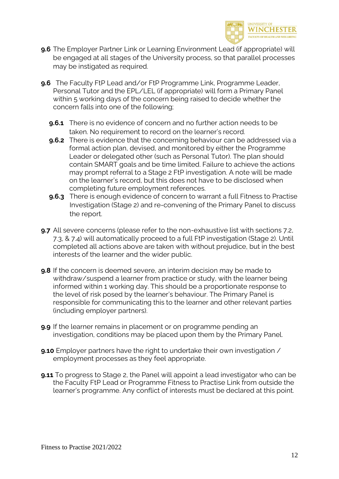

- **9.6** The Employer Partner Link or Learning Environment Lead (if appropriate) will be engaged at all stages of the University process, so that parallel processes may be instigated as required.
- **9.6** The Faculty FtP Lead and/or FtP Programme Link, Programme Leader, Personal Tutor and the EPL/LEL (if appropriate) will form a Primary Panel within 5 working days of the concern being raised to decide whether the concern falls into one of the following;
	- **9.6.1** There is no evidence of concern and no further action needs to be taken. No requirement to record on the learner's record.
	- **9.6.2** There is evidence that the concerning behaviour can be addressed via a formal action plan, devised, and monitored by either the Programme Leader or delegated other (such as Personal Tutor). The plan should contain SMART goals and be time limited. Failure to achieve the actions may prompt referral to a Stage 2 FtP investigation. A note will be made on the learner's record, but this does not have to be disclosed when completing future employment references.
	- **9.6.3** There is enough evidence of concern to warrant a full Fitness to Practise Investigation (Stage 2) and re-convening of the Primary Panel to discuss the report.
- **9.7** All severe concerns (please refer to the non-exhaustive list with sections 7.2, 7.3, & 7.4) will automatically proceed to a full FtP investigation (Stage 2). Until completed all actions above are taken with without prejudice, but in the best interests of the learner and the wider public.
- **9.8** If the concern is deemed severe, an interim decision may be made to withdraw/suspend a learner from practice or study, with the learner being informed within 1 working day. This should be a proportionate response to the level of risk posed by the learner's behaviour. The Primary Panel is responsible for communicating this to the learner and other relevant parties (including employer partners).
- **9.9** If the learner remains in placement or on programme pending an investigation, conditions may be placed upon them by the Primary Panel.
- **9.10** Employer partners have the right to undertake their own investigation / employment processes as they feel appropriate.
- **9.11** To progress to Stage 2, the Panel will appoint a lead investigator who can be the Faculty FtP Lead or Programme Fitness to Practise Link from outside the learner's programme. Any conflict of interests must be declared at this point.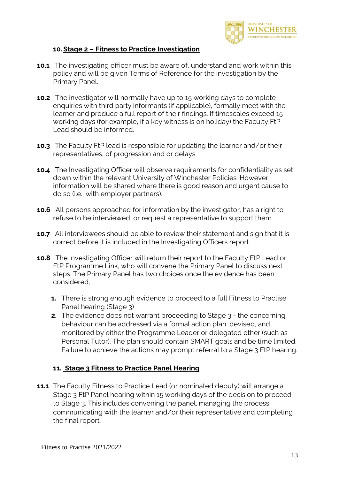

### **10.Stage 2 – Fitness to Practice Investigation**

- **10.1** The investigating officer must be aware of, understand and work within this policy and will be given Terms of Reference for the investigation by the Primary Panel.
- **10.2** The investigator will normally have up to 15 working days to complete enquiries with third party informants (if applicable), formally meet with the learner and produce a full report of their findings. If timescales exceed 15 working days (for example, if a key witness is on holiday) the Faculty FtP Lead should be informed.
- **10.3** The Faculty FtP lead is responsible for updating the learner and/or their representatives, of progression and or delays.
- **10.4** The Investigating Officer will observe requirements for confidentiality as set down within the relevant University of Winchester Policies. However, information will be shared where there is good reason and urgent cause to do so (i.e., with employer partners).
- **10.6** All persons approached for information by the investigator, has a right to refuse to be interviewed, or request a representative to support them.
- **10.7** All interviewees should be able to review their statement and sign that it is correct before it is included in the Investigating Officers report.
- **10.8** The investigating Officer will return their report to the Faculty FtP Lead or FtP Programme Link, who will convene the Primary Panel to discuss next steps. The Primary Panel has two choices once the evidence has been considered;
	- **1.** There is strong enough evidence to proceed to a full Fitness to Practise Panel hearing (Stage 3)
	- **2.** The evidence does not warrant proceeding to Stage 3 the concerning behaviour can be addressed via a formal action plan, devised, and monitored by either the Programme Leader or delegated other (such as Personal Tutor). The plan should contain SMART goals and be time limited. Failure to achieve the actions may prompt referral to a Stage 3 FtP hearing.

### **11. Stage 3 Fitness to Practice Panel Hearing**

**11.1** The Faculty Fitness to Practice Lead (or nominated deputy) will arrange a Stage 3 FtP Panel hearing within 15 working days of the decision to proceed to Stage 3. This includes convening the panel, managing the process, communicating with the learner and/or their representative and completing the final report.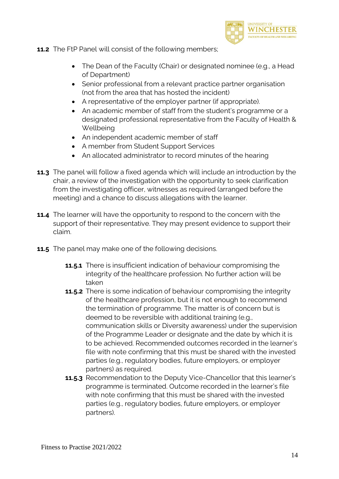

**11.2** The FtP Panel will consist of the following members;

- The Dean of the Faculty (Chair) or designated nominee (e.g., a Head of Department)
- Senior professional from a relevant practice partner organisation (not from the area that has hosted the incident)
- A representative of the employer partner (if appropriate).
- An academic member of staff from the student's programme or a designated professional representative from the Faculty of Health & **Wellbeing**
- An independent academic member of staff
- A member from Student Support Services
- An allocated administrator to record minutes of the hearing
- **11.3** The panel will follow a fixed agenda which will include an introduction by the chair, a review of the investigation with the opportunity to seek clarification from the investigating officer, witnesses as required (arranged before the meeting) and a chance to discuss allegations with the learner.
- **11.4** The learner will have the opportunity to respond to the concern with the support of their representative. They may present evidence to support their claim.
- **11.5** The panel may make one of the following decisions.
	- **11.5.1** There is insufficient indication of behaviour compromising the integrity of the healthcare profession. No further action will be taken
	- **11.5.2** There is some indication of behaviour compromising the integrity of the healthcare profession, but it is not enough to recommend the termination of programme. The matter is of concern but is deemed to be reversible with additional training (e.g., communication skills or Diversity awareness) under the supervision of the Programme Leader or designate and the date by which it is to be achieved. Recommended outcomes recorded in the learner's file with note confirming that this must be shared with the invested parties (e.g., regulatory bodies, future employers, or employer partners) as required.
	- **11.5.3** Recommendation to the Deputy Vice-Chancellor that this learner's programme is terminated. Outcome recorded in the learner's file with note confirming that this must be shared with the invested parties (e.g., regulatory bodies, future employers, or employer partners).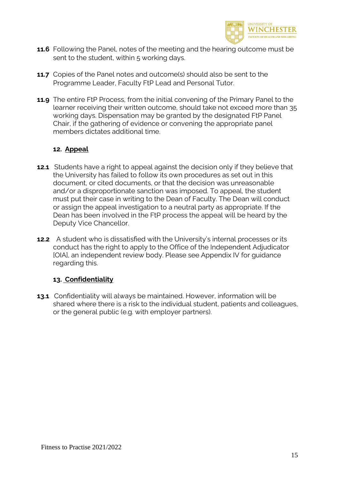

- **11.6** Following the Panel, notes of the meeting and the hearing outcome must be sent to the student, within 5 working days.
- **11.7** Copies of the Panel notes and outcome(s) should also be sent to the Programme Leader, Faculty FtP Lead and Personal Tutor.
- **11.9** The entire FtP Process, from the initial convening of the Primary Panel to the learner receiving their written outcome, should take not exceed more than 35 working days. Dispensation may be granted by the designated FtP Panel Chair, if the gathering of evidence or convening the appropriate panel members dictates additional time.

### **12. Appeal**

- **12.1** Students have a right to appeal against the decision only if they believe that the University has failed to follow its own procedures as set out in this document, or cited documents, or that the decision was unreasonable and/or a disproportionate sanction was imposed. To appeal, the student must put their case in writing to the Dean of Faculty. The Dean will conduct or assign the appeal investigation to a neutral party as appropriate. If the Dean has been involved in the FtP process the appeal will be heard by the Deputy Vice Chancellor.
- **12.2** A student who is dissatisfied with the University's internal processes or its conduct has the right to apply to the Office of the Independent Adjudicator [OIA], an independent review body. Please see Appendix IV for guidance regarding this.

### **13. Confidentiality**

**13.1** Confidentiality will always be maintained. However, information will be shared where there is a risk to the individual student, patients and colleagues, or the general public (e.g. with employer partners).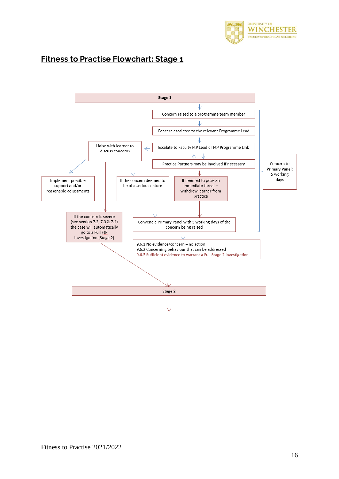

### **Fitness to Practise Flowchart: Stage 1**

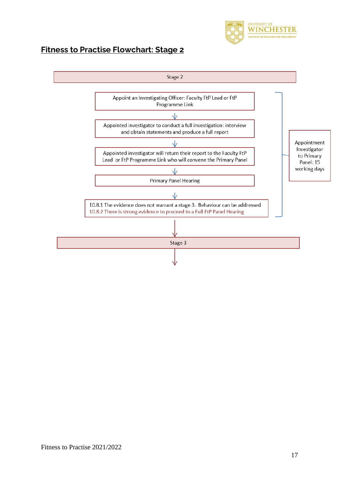

## **Fitness to Practise Flowchart: Stage 2**

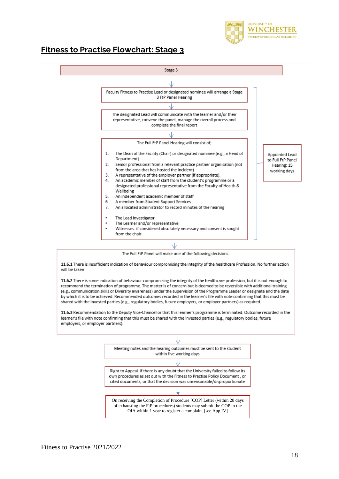

### **Fitness to Practise Flowchart: Stage 3**





11.6.1 There is insufficient indication of behaviour compromising the integrity of the healthcare Profession. No further action will be taken

11.6.2 There is some indication of behaviour compromising the integrity of the healthcare profession, but it is not enough to recommend the termination of programme. The matter is of concern but is deemed to be reversible with additional training (e.g., communication skills or Diversity awareness) under the supervision of the Programme Leader or designate and the date by which it is to be achieved. Recommended outcomes recorded in the learner's file with note confirming that this must be shared with the invested parties (e.g., regulatory bodies, future employers, or employer partners) as required.

11.6.3 Recommendation to the Deputy Vice-Chancellor that this learner's programme is terminated. Outcome recorded in the learner's file with note confirming that this must be shared with the invested parties (e.g., regulatory bodies, future employers, or employer partners).

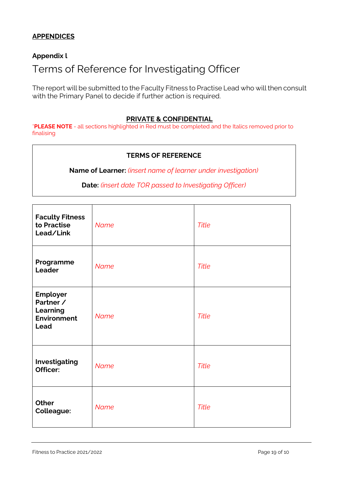### **APPENDICES**

### **Appendix l**

# Terms of Reference for Investigating Officer

The report will be submitted to the Faculty Fitness to Practise Lead who will then consult with the Primary Panel to decide if further action is required.

#### **PRIVATE & CONFIDENTIAL**

\***PLEASE NOTE** - all sections highlighted in Red must be completed and the Italics removed prior to finalising

#### **TERMS OF REFERENCE**

**Name of Learner:** *(insert name of learner under investigation)*

**Date:** *(insert date TOR passed to Investigating Officer)*

| <b>Faculty Fitness</b><br>to Practise<br>Lead/Link              | <b>Name</b> | <b>Title</b> |
|-----------------------------------------------------------------|-------------|--------------|
| Programme<br>Leader                                             | <b>Name</b> | <b>Title</b> |
| Employer<br>Partner /<br>Learning<br><b>Environment</b><br>Lead | <b>Name</b> | <b>Title</b> |
| Investigating<br>Officer:                                       | <b>Name</b> | <b>Title</b> |
| <b>Other</b><br><b>Colleague:</b>                               | <b>Name</b> | <b>Title</b> |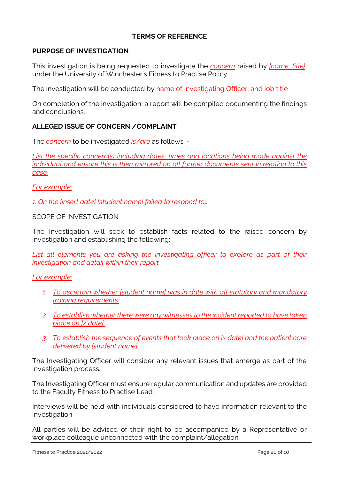### **TERMS OF REFERENCE**

### **PURPOSE OF INVESTIGATION**

This investigation is being requested to investigate the *concern* raised by *[name, title]*, under the University of Winchester's Fitness to Practise Policy

The investigation will be conducted by name of Investigating Officer, and job title

On completion of the investigation, a report will be compiled documenting the findings and conclusions.

### **ALLEGED ISSUE OF CONCERN /COMPLAINT**

The *concern* to be investigated *is/are* as follows: -

*List the specific concern(s) including dates, times and locations being made against the individual and ensure this is then mirrored on all further documents sent in relation to this case.*

*For example:*

*1. On the [insert date] [student name] failed to respond to….*

### SCOPE OF INVESTIGATION

The Investigation will seek to establish facts related to the raised concern by investigation and establishing the following:

*List all elements you are asking the investigating officer to explore as part of their investigation and detail within their report.*

*For example:*

- *1. To ascertain whether [student name] was in date with all statutory and mandatory training requirements.*
- *2. To establish whether there were any witnesses to the incident reported to have taken place on [x date].*
- *3. To establish the sequence of events that took place on [x date] and the patient care delivered by [student name].*

The Investigating Officer will consider any relevant issues that emerge as part of the investigation process.

The Investigating Officer must ensure regular communication and updates are provided to the Faculty Fitness to Practise Lead.

Interviews will be held with individuals considered to have information relevant to the investigation.

All parties will be advised of their right to be accompanied by a Representative or workplace colleague unconnected with the complaint/allegation.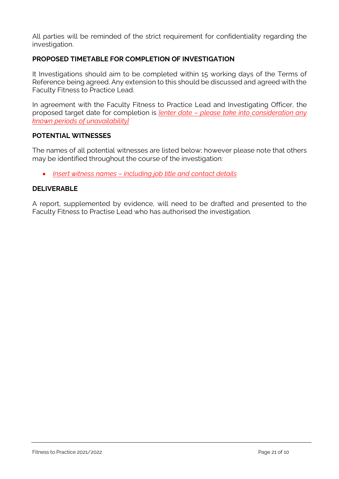All parties will be reminded of the strict requirement for confidentiality regarding the investigation.

### **PROPOSED TIMETABLE FOR COMPLETION OF INVESTIGATION**

It Investigations should aim to be completed within 15 working days of the Terms of Reference being agreed. Any extension to this should be discussed and agreed with the Faculty Fitness to Practice Lead.

In agreement with the Faculty Fitness to Practice Lead and Investigating Officer, the proposed target date for completion is *[enter date – please take into consideration any known periods of unavailability]*

### **POTENTIAL WITNESSES**

The names of all potential witnesses are listed below; however please note that others may be identified throughout the course of the investigation:

• *Insert witness names – including job title and contact details*

### **DELIVERABLE**

A report, supplemented by evidence, will need to be drafted and presented to the Faculty Fitness to Practise Lead who has authorised the investigation.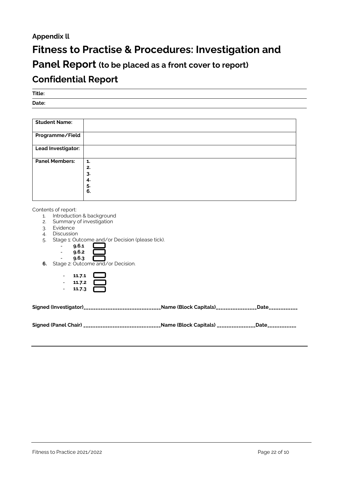### **Appendix ll**

# **Fitness to Practise & Procedures: Investigation and**

# **Panel Report (to be placed as a front cover to report)**

## **Confidential Report**

**Title:**

**Date:**

| <b>Student Name:</b>  |    |
|-----------------------|----|
|                       |    |
| Programme/Field       |    |
|                       |    |
| Lead Investigator:    |    |
|                       |    |
| <b>Panel Members:</b> | 1. |
|                       | 2. |
|                       | 3. |
|                       | 4. |
|                       | 5. |
|                       | 6. |
|                       |    |

Contents of report:

- 1. Introduction & background
- 2. Summary of investigation
- 3. Evidence
- 4. Discussion
- 5. Stage 1: Outcome and/or Decision (please tick).



**6.** Stage 2: Outcome and/or Decision.

| 11.7.1 |  |
|--------|--|
| 11.7.2 |  |
| 11.7.3 |  |

| Signed (Investigator)______________________________Name (Block Capitals)_______________Date____________ |  |
|---------------------------------------------------------------------------------------------------------|--|
|                                                                                                         |  |

| <b>Signed (Panel Chair)</b> |  |  |
|-----------------------------|--|--|
|-----------------------------|--|--|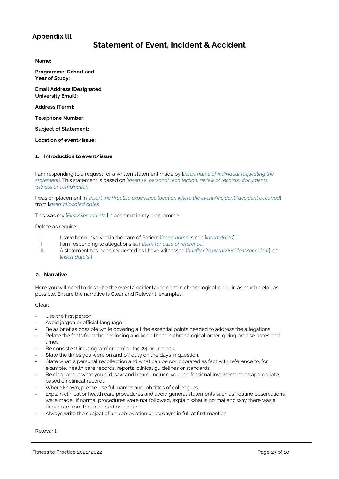### **Appendix lll**

### **Statement of Event, Incident & Accident**

**Name:**

**Programme, Cohort and Year of Study:**

**Email Address [Designated University Email]:**

**Address [Term]:**

**Telephone Number:**

**Subject of Statement:**

**Location of event/issue:**

#### **1. Introduction to event/issue**

I am responding to a request for a written statement made by [*insert name of individual requesting the statement*]. This statement is based on [*insert i.e. personal recollection, review of records/documents, witness or combination*]

I was on placement in [*insert the Practise experience location where the event/incident/accident occurred*] from [*insert allocated dates*].

This was my [*First/Second etc*.] placement in my programme.

Delete as require:

- I. I have been involved in the care of Patient [*insert name*] since [*insert dates*]
- II. I am responding to allegations [*list them for ease of reference*]
- III. A statement has been requested as I have witnessed [*briefly cite event/incident/accident*] on [*insert date(s)*]

#### **2. Narrative**

Here you will need to describe the event/incident/accident in chronological order in as much detail as possible. Ensure the narrative is Clear and Relevant, examples:

Clear:

- Use the first person
- Avoid jargon or official language
- Be as brief as possible while covering all the essential points needed to address the allegations.
- Relate the facts from the beginning and keep them in chronological order, giving precise dates and times.
- Be consistent in using 'am' or 'pm' or the 24-hour clock.
- State the times you were on and off duty on the days in question.
- State what is personal recollection and what can be corroborated as fact with reference to, for example, health care records, reports, clinical guidelines or standards.
- Be clear about what you did, saw and heard. Include your professional involvement, as appropriate, based on clinical records.
- Where known, please use full names and job titles of colleagues
- Explain clinical or health care procedures and avoid general statements such as 'routine observations were made'. If normal procedures were not followed, explain what is normal and why there was a departure from the accepted procedure.
- Always write the subject of an abbreviation or acronym in full at first mention.

Relevant: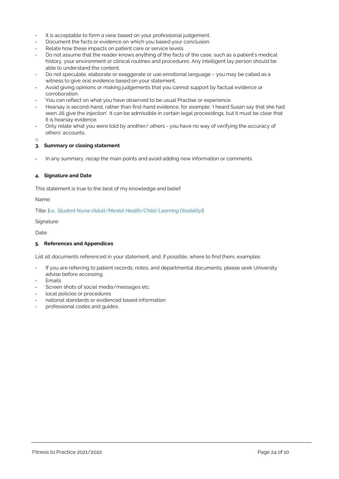- It is acceptable to form a view based on your professional judgement.
- Document the facts or evidence on which you based your conclusion.
- Relate how these impacts on patient care or service levels.
- Do not assume that the reader knows anything of the facts of the case, such as a patient's medical history, your environment or clinical routines and procedures. Any intelligent lay person should be able to understand the content.
- Do not speculate, elaborate or exaggerate or use emotional language you may be called as a witness to give oral evidence based on your statement.
- Avoid giving opinions or making judgements that you cannot support by factual evidence or corroboration.
- You can reflect on what you have observed to be usual Practise or experience.
- Hearsay is second-hand, rather than first-hand evidence, for example: 'I heard Susan say that she had seen Jill give the injection'. It can be admissible in certain legal proceedings, but it must be clear that it is hearsay evidence.
- Only relate what you were told by another/ others you have no way of verifying the accuracy of others' accounts.

o

#### **3. Summary or closing statement**

In any summary, recap the main points and avoid adding new information or comments.

#### **4. Signature and Date**

This statement is true to the best of my knowledge and belief

Name:

Title: [*i.e., Student Nurse (Adult/Mental Health/Child/Learning Disability)*]

Signature:

Date:

#### **5. References and Appendices**

List all documents referenced in your statement, and, if possible, where to find them, examples:

- If you are referring to patient records, notes, and departmental documents, please seek University advise before accessing.
- **Emails**
- Screen shots of social media/messages etc.
- local policies or procedures
- national standards or evidenced based information
- professional codes and quides.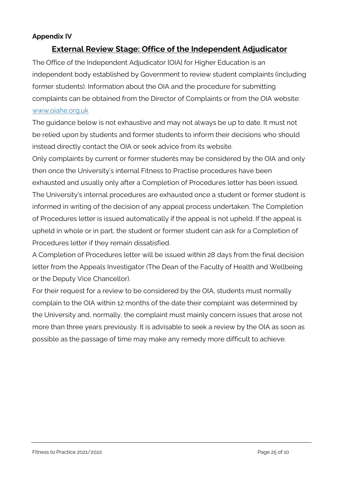### **Appendix IV**

### **External Review Stage: Office of the Independent Adjudicator**

The Office of the Independent Adjudicator [OIA] for Higher Education is an independent body established by Government to review student complaints (including former students). Information about the OIA and the procedure for submitting complaints can be obtained from the Director of Complaints or from the OIA website: www.oiahe.org.uk

The guidance below is not exhaustive and may not always be up to date. It must not be relied upon by students and former students to inform their decisions who should instead directly contact the OIA or seek advice from its website.

Only complaints by current or former students may be considered by the OIA and only then once the University's internal Fitness to Practise procedures have been exhausted and usually only after a Completion of Procedures letter has been issued. The University's internal procedures are exhausted once a student or former student is informed in writing of the decision of any appeal process undertaken. The Completion of Procedures letter is issued automatically if the appeal is not upheld. If the appeal is upheld in whole or in part, the student or former student can ask for a Completion of Procedures letter if they remain dissatisfied.

A Completion of Procedures letter will be issued within 28 days from the final decision letter from the Appeals Investigator (The Dean of the Faculty of Health and Wellbeing or the Deputy Vice Chancellor).

For their request for a review to be considered by the OIA, students must normally complain to the OIA within 12 months of the date their complaint was determined by the University and, normally, the complaint must mainly concern issues that arose not more than three years previously. It is advisable to seek a review by the OIA as soon as possible as the passage of time may make any remedy more difficult to achieve.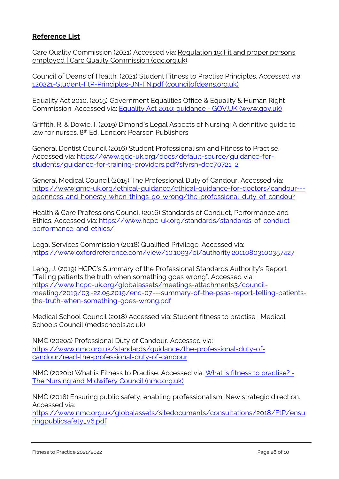### **Reference List**

Care Quality Commission (2021) Accessed via: [Regulation](https://www.cqc.org.uk/guidance-providers/regulations-enforcement/regulation-19-fit-proper-persons-employed#full-regulation) 19: Fit and proper persons employed | Care Quality [Commission](https://www.cqc.org.uk/guidance-providers/regulations-enforcement/regulation-19-fit-proper-persons-employed#full-regulation) (cqc.org.uk)

Council of Deans of Health. (2021) Student Fitness to Practise Principles. Accessed via: [120221-Student-FtP-Principles-JN-FN.pdf](https://councilofdeans.org.uk/wp-content/uploads/2021/02/120221-Student-FtP-Principles-JN-FN.pdf) (councilofdeans.org.uk)

Equality Act 2010. (2015) Government Equalities Office & Equality & Human Right Commission. Accessed via: Equality Act 2010: guidance - GOV.UK [\(www.gov.uk\)](https://www.gov.uk/guidance/equality-act-2010-guidance)

Griffith, R. & Dowie, I. (2019) Dimond's Legal Aspects of Nursing: A definitive guide to law for nurses. 8th Ed. London: Pearson Publishers

General Dentist Council (2016) Student Professionalism and Fitness to Practise. Accessed via: [https://www.gdc-uk.org/docs/default-source/guidance-for](https://www.gdc-uk.org/docs/default-source/guidance-for-students/guidance-for-training-providers.pdf?sfvrsn=dee70721_2)[students/guidance-for-training-providers.pdf?sfvrsn=dee70721\\_2](https://www.gdc-uk.org/docs/default-source/guidance-for-students/guidance-for-training-providers.pdf?sfvrsn=dee70721_2)

General Medical Council (2015) The Professional Duty of Candour. Accessed via: [https://www.gmc-uk.org/ethical-guidance/ethical-guidance-for-doctors/candour--](https://www.gmc-uk.org/ethical-guidance/ethical-guidance-for-doctors/candour---openness-and-honesty-when-things-go-wrong/the-professional-duty-of-candour) [openness-and-honesty-when-things-go-wrong/the-professional-duty-of-candour](https://www.gmc-uk.org/ethical-guidance/ethical-guidance-for-doctors/candour---openness-and-honesty-when-things-go-wrong/the-professional-duty-of-candour)

Health & Care Professions Council (2016) Standards of Conduct, Performance and Ethics. Accessed via: [https://www.hcpc-uk.org/standards/standards-of-conduct](https://www.hcpc-uk.org/standards/standards-of-conduct-performance-and-ethics/)[performance-and-ethics/](https://www.hcpc-uk.org/standards/standards-of-conduct-performance-and-ethics/)

Legal Services Commission (2018) Qualified Privilege. Accessed via: <https://www.oxfordreference.com/view/10.1093/oi/authority.20110803100357427>

Leng, J. (2019) HCPC's Summary of the Professional Standards Authority's Report "Telling patients the truth when something goes wrong". Accessed via: [https://www.hcpc-uk.org/globalassets/meetings-attachments3/council](https://www.hcpc-uk.org/globalassets/meetings-attachments3/council-meeting/2019/03.-22.05.2019/enc-07---summary-of-the-psas-report-telling-patients-the-truth-when-something-goes-wrong.pdf)[meeting/2019/03.-22.05.2019/enc-07---summary-of-the-psas-report-telling-patients](https://www.hcpc-uk.org/globalassets/meetings-attachments3/council-meeting/2019/03.-22.05.2019/enc-07---summary-of-the-psas-report-telling-patients-the-truth-when-something-goes-wrong.pdf)[the-truth-when-something-goes-wrong.pdf](https://www.hcpc-uk.org/globalassets/meetings-attachments3/council-meeting/2019/03.-22.05.2019/enc-07---summary-of-the-psas-report-telling-patients-the-truth-when-something-goes-wrong.pdf)

Medical School Council (2018) Accessed via: Student fitness to [practise](https://www.medschools.ac.uk/our-work/student-fitness-to-practise) | Medical Schools Council [\(medschools.ac.uk\)](https://www.medschools.ac.uk/our-work/student-fitness-to-practise)

NMC (2020a) Professional Duty of Candour. Accessed via: [https://www.nmc.org.uk/standards/guidance/the-professional-duty-of](https://www.nmc.org.uk/standards/guidance/the-professional-duty-of-candour/read-the-professional-duty-of-candour)[candour/read-the-professional-duty-of-candour](https://www.nmc.org.uk/standards/guidance/the-professional-duty-of-candour/read-the-professional-duty-of-candour)

NMC (2020b) What is Fitness to Practise. Accessed via: What is fitness to [practise?](https://www.nmc.org.uk/concerns-nurses-midwives/dealing-concerns/what-is-fitness-to-practise/) - The Nursing and Midwifery Council [\(nmc.org.uk\)](https://www.nmc.org.uk/concerns-nurses-midwives/dealing-concerns/what-is-fitness-to-practise/)

NMC (2018) Ensuring public safety, enabling professionalism: New strategic direction. Accessed via:

[https://www.nmc.org.uk/globalassets/sitedocuments/consultations/2018/FtP/ensu](https://www.nmc.org.uk/globalassets/sitedocuments/consultations/2018/ftp/ensuringpublicsafety_v6.pdf) [ringpublicsafety\\_v6.pdf](https://www.nmc.org.uk/globalassets/sitedocuments/consultations/2018/ftp/ensuringpublicsafety_v6.pdf)